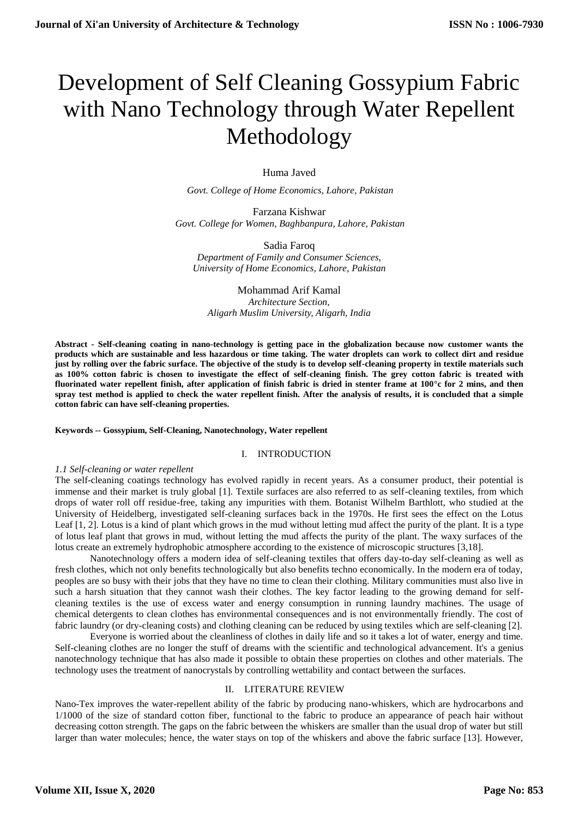# Development of Self Cleaning Gossypium Fabric with Nano Technology through Water Repellent Methodology

Huma Javed

*Govt. College of Home Economics, Lahore, Pakistan*

Farzana Kishwar *Govt. College for Women, Baghbanpura, Lahore, Pakistan*

Sadia Faroq *Department of Family and Consumer Sciences, University of Home Economics, Lahore, Pakistan*

Mohammad Arif Kamal *Architecture Section, Aligarh Muslim University, Aligarh, India*

**Abstract - Self-cleaning coating in nano-technology is getting pace in the globalization because now customer wants the products which are sustainable and less hazardous or time taking. The water droplets can work to collect dirt and residue just by rolling over the fabric surface. The objective of the study is to develop self-cleaning property in textile materials such as 100% cotton fabric is chosen to investigate the effect of self-cleaning finish. The grey cotton fabric is treated with fluorinated water repellent finish, after application of finish fabric is dried in stenter frame at 100°c for 2 mins, and then spray test method is applied to check the water repellent finish. After the analysis of results, it is concluded that a simple cotton fabric can have self-cleaning properties.** 

### **Keywords -- Gossypium, Self-Cleaning, Nanotechnology, Water repellent**

### I. INTRODUCTION

### *1.1 Self-cleaning or water repellent*

The self-cleaning coatings technology has evolved rapidly in recent years. As a consumer product, their potential is immense and their market is truly global [1]. Textile surfaces are also referred to as self-cleaning textiles, from which drops of water roll off residue-free, taking any impurities with them. Botanist Wilhelm Barthlott, who studied at the University of Heidelberg, investigated self-cleaning surfaces back in the 1970s. He first sees the effect on the Lotus Leaf [1, 2]. Lotus is a kind of plant which grows in the mud without letting mud affect the purity of the plant. It is a type of lotus leaf plant that grows in mud, without letting the mud affects the purity of the plant. The waxy surfaces of the lotus create an extremely hydrophobic atmosphere according to the existence of microscopic structures [3,18].

Nanotechnology offers a modern idea of self-cleaning textiles that offers day-to-day self-cleaning as well as fresh clothes, which not only benefits technologically but also benefits techno economically. In the modern era of today, peoples are so busy with their jobs that they have no time to clean their clothing. Military communities must also live in such a harsh situation that they cannot wash their clothes. The key factor leading to the growing demand for selfcleaning textiles is the use of excess water and energy consumption in running laundry machines. The usage of chemical detergents to clean clothes has environmental consequences and is not environmentally friendly. The cost of fabric laundry (or dry-cleaning costs) and clothing cleaning can be reduced by using textiles which are self-cleaning [2].

Everyone is worried about the cleanliness of clothes in daily life and so it takes a lot of water, energy and time. Self-cleaning clothes are no longer the stuff of dreams with the scientific and technological advancement. It's a genius nanotechnology technique that has also made it possible to obtain these properties on clothes and other materials. The technology uses the treatment of nanocrystals by controlling wettability and contact between the surfaces.

### II. LITERATURE REVIEW

Nano-Tex improves the water-repellent ability of the fabric by producing nano-whiskers, which are hydrocarbons and 1/1000 of the size of standard cotton fiber, functional to the fabric to produce an appearance of peach hair without decreasing cotton strength. The gaps on the fabric between the whiskers are smaller than the usual drop of water but still larger than water molecules; hence, the water stays on top of the whiskers and above the fabric surface [13]. However,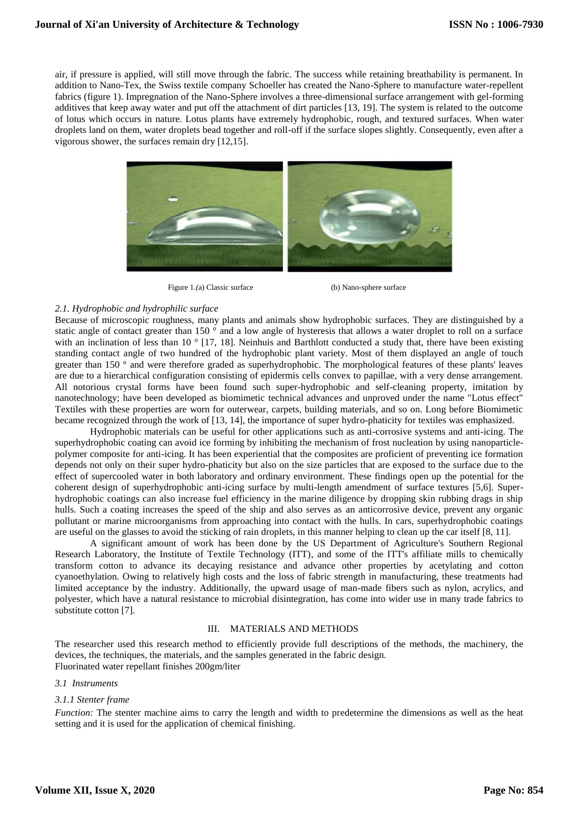air, if pressure is applied, will still move through the fabric. The success while retaining breathability is permanent. In addition to Nano-Tex, the Swiss textile company Schoeller has created the Nano-Sphere to manufacture water-repellent fabrics (figure 1). Impregnation of the Nano-Sphere involves a three-dimensional surface arrangement with gel-forming additives that keep away water and put off the attachment of dirt particles [13, 19]. The system is related to the outcome of lotus which occurs in nature. Lotus plants have extremely hydrophobic, rough, and textured surfaces. When water droplets land on them, water droplets bead together and roll-off if the surface slopes slightly. Consequently, even after a vigorous shower, the surfaces remain dry [12,15].



Figure 1.(a) Classic surface (b) Nano-sphere surface

## *2.1. Hydrophobic and hydrophilic surface*

Because of microscopic roughness, many plants and animals show hydrophobic surfaces. They are distinguished by a static angle of contact greater than 150 $\degree$  and a low angle of hysteresis that allows a water droplet to roll on a surface with an inclination of less than 10 ° [17, 18]. Neinhuis and Barthlott conducted a study that, there have been existing standing contact angle of two hundred of the hydrophobic plant variety. Most of them displayed an angle of touch greater than 150 ° and were therefore graded as superhydrophobic. The morphological features of these plants' leaves are due to a hierarchical configuration consisting of epidermis cells convex to papillae, with a very dense arrangement. All notorious crystal forms have been found such super-hydrophobic and self-cleaning property, imitation by nanotechnology; have been developed as biomimetic technical advances and unproved under the name "Lotus effect" Textiles with these properties are worn for outerwear, carpets, building materials, and so on. Long before Biomimetic became recognized through the work of [13, 14], the importance of super hydro-phaticity for textiles was emphasized.

Hydrophobic materials can be useful for other applications such as anti-corrosive systems and anti-icing. The superhydrophobic coating can avoid ice forming by inhibiting the mechanism of frost nucleation by using nanoparticlepolymer composite for anti-icing. It has been experiential that the composites are proficient of preventing ice formation depends not only on their super hydro-phaticity but also on the size particles that are exposed to the surface due to the effect of supercooled water in both laboratory and ordinary environment. These findings open up the potential for the coherent design of superhydrophobic anti-icing surface by multi-length amendment of surface textures [5,6]. Superhydrophobic coatings can also increase fuel efficiency in the marine diligence by dropping skin rubbing drags in ship hulls. Such a coating increases the speed of the ship and also serves as an anticorrosive device, prevent any organic pollutant or marine microorganisms from approaching into contact with the hulls. In cars, superhydrophobic coatings are useful on the glasses to avoid the sticking of rain droplets, in this manner helping to clean up the car itself [8, 11].

A significant amount of work has been done by the US Department of Agriculture's Southern Regional Research Laboratory, the Institute of Textile Technology (ITT), and some of the ITT's affiliate mills to chemically transform cotton to advance its decaying resistance and advance other properties by acetylating and cotton cyanoethylation. Owing to relatively high costs and the loss of fabric strength in manufacturing, these treatments had limited acceptance by the industry. Additionally, the upward usage of man-made fibers such as nylon, acrylics, and polyester, which have a natural resistance to microbial disintegration, has come into wider use in many trade fabrics to substitute cotton [7].

### III. MATERIALS AND METHODS

The researcher used this research method to efficiently provide full descriptions of the methods, the machinery, the devices, the techniques, the materials, and the samples generated in the fabric design. Fluorinated water repellant finishes 200gm/liter

## *3.1 Instruments*

### *3.1.1 Stenter frame*

*Function:* The stenter machine aims to carry the length and width to predetermine the dimensions as well as the heat setting and it is used for the application of chemical finishing.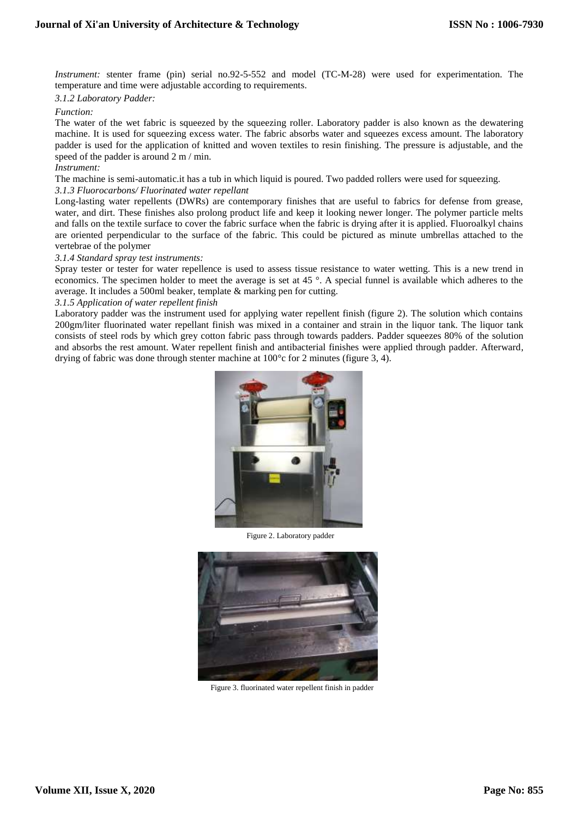*Instrument:* stenter frame (pin) serial no.92-5-552 and model (TC-M-28) were used for experimentation. The temperature and time were adjustable according to requirements.

## *3.1.2 Laboratory Padder:*

## *Function:*

The water of the wet fabric is squeezed by the squeezing roller. Laboratory padder is also known as the dewatering machine. It is used for squeezing excess water. The fabric absorbs water and squeezes excess amount. The laboratory padder is used for the application of knitted and woven textiles to resin finishing. The pressure is adjustable, and the speed of the padder is around 2 m / min.

## *Instrument:*

The machine is semi-automatic.it has a tub in which liquid is poured. Two padded rollers were used for squeezing.

## *3.1.3 Fluorocarbons/ Fluorinated water repellant*

Long-lasting water repellents (DWRs) are contemporary finishes that are useful to fabrics for defense from grease, water, and dirt. These finishes also prolong product life and keep it looking newer longer. The polymer particle melts and falls on the textile surface to cover the fabric surface when the fabric is drying after it is applied. Fluoroalkyl chains are oriented perpendicular to the surface of the fabric. This could be pictured as minute umbrellas attached to the vertebrae of the polymer

## *3.1.4 Standard spray test instruments:*

Spray tester or tester for water repellence is used to assess tissue resistance to water wetting. This is a new trend in economics. The specimen holder to meet the average is set at 45 °. A special funnel is available which adheres to the average. It includes a 500ml beaker, template & marking pen for cutting.

## *3.1.5 Application of water repellent finish*

Laboratory padder was the instrument used for applying water repellent finish (figure 2). The solution which contains 200gm/liter fluorinated water repellant finish was mixed in a container and strain in the liquor tank. The liquor tank consists of steel rods by which grey cotton fabric pass through towards padders. Padder squeezes 80% of the solution and absorbs the rest amount. Water repellent finish and antibacterial finishes were applied through padder. Afterward, drying of fabric was done through stenter machine at 100°c for 2 minutes (figure 3, 4).



Figure 2. Laboratory padder



Figure 3. fluorinated water repellent finish in padder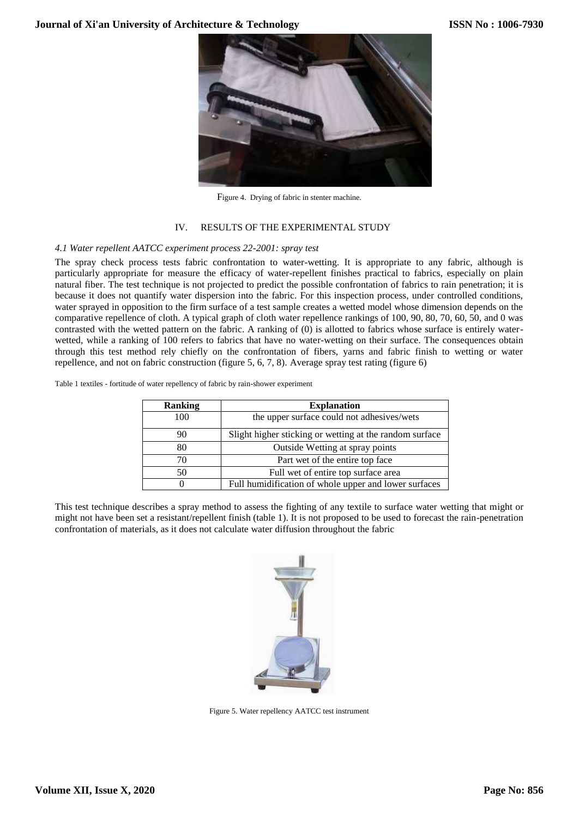

Figure 4. Drying of fabric in stenter machine.

## IV. RESULTS OF THE EXPERIMENTAL STUDY

## *4.1 Water repellent AATCC experiment process 22-2001: spray test*

The spray check process tests fabric confrontation to water-wetting. It is appropriate to any fabric, although is particularly appropriate for measure the efficacy of water-repellent finishes practical to fabrics, especially on plain natural fiber. The test technique is not projected to predict the possible confrontation of fabrics to rain penetration; it is because it does not quantify water dispersion into the fabric. For this inspection process, under controlled conditions, water sprayed in opposition to the firm surface of a test sample creates a wetted model whose dimension depends on the comparative repellence of cloth. A typical graph of cloth water repellence rankings of 100, 90, 80, 70, 60, 50, and 0 was contrasted with the wetted pattern on the fabric. A ranking of (0) is allotted to fabrics whose surface is entirely waterwetted, while a ranking of 100 refers to fabrics that have no water-wetting on their surface. The consequences obtain through this test method rely chiefly on the confrontation of fibers, yarns and fabric finish to wetting or water repellence, and not on fabric construction (figure 5, 6, 7, 8). Average spray test rating (figure 6)

Table 1 textiles - fortitude of water repellency of fabric by rain-shower experiment

| <b>Ranking</b> | <b>Explanation</b>                                      |
|----------------|---------------------------------------------------------|
| 100            | the upper surface could not adhesives/wets              |
| 90             | Slight higher sticking or wetting at the random surface |
| 80             | Outside Wetting at spray points                         |
| 70             | Part wet of the entire top face                         |
| 50             | Full wet of entire top surface area                     |
|                | Full humidification of whole upper and lower surfaces   |

This test technique describes a spray method to assess the fighting of any textile to surface water wetting that might or might not have been set a resistant/repellent finish (table 1). It is not proposed to be used to forecast the rain-penetration confrontation of materials, as it does not calculate water diffusion throughout the fabric



Figure 5. Water repellency AATCC test instrument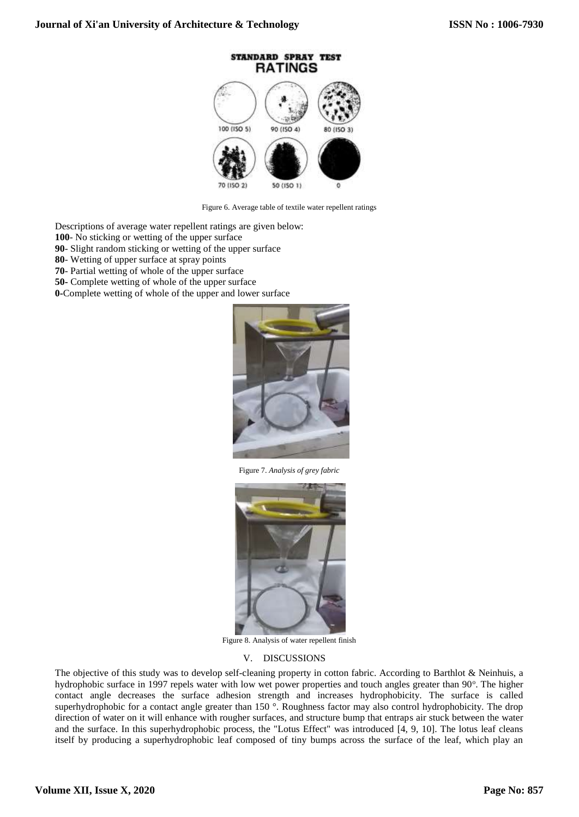

Figure 6. Average table of textile water repellent ratings

Descriptions of average water repellent ratings are given below:

- **100** No sticking or wetting of the upper surface
- **90** Slight random sticking or wetting of the upper surface
- **80** Wetting of upper surface at spray points
- **70** Partial wetting of whole of the upper surface
- **50-** Complete wetting of whole of the upper surface
- **0-**Complete wetting of whole of the upper and lower surface



Figure 7. *Analysis of grey fabric*



Figure 8. Analysis of water repellent finish

## V. DISCUSSIONS

The objective of this study was to develop self-cleaning property in cotton fabric. According to Barthlot & Neinhuis, a hydrophobic surface in 1997 repels water with low wet power properties and touch angles greater than 90°. The higher contact angle decreases the surface adhesion strength and increases hydrophobicity. The surface is called superhydrophobic for a contact angle greater than 150 °. Roughness factor may also control hydrophobicity. The drop direction of water on it will enhance with rougher surfaces, and structure bump that entraps air stuck between the water and the surface. In this superhydrophobic process, the "Lotus Effect" was introduced  $[4, 9, 10]$ . The lotus leaf cleans itself by producing a superhydrophobic leaf composed of tiny bumps across the surface of the leaf, which play an